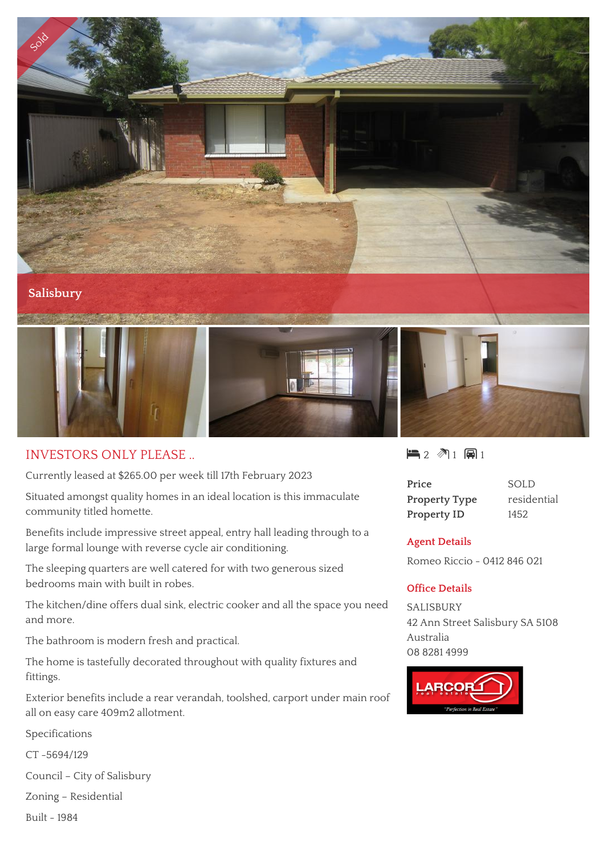

## INVESTORS ONLY PLEASE ..

Currently leased at \$265.00 per week till 17th February 2023

Situated amongst quality homes in an ideal location is this immaculate community titled homette.

Benefits include impressive street appeal, entry hall leading through to a large formal lounge with reverse cycle air conditioning.

The sleeping quarters are well catered for with two generous sized bedrooms main with built in robes.

The kitchen/dine offers dual sink, electric cooker and all the space you need and more.

The bathroom is modern fresh and practical.

The home is tastefully decorated throughout with quality fixtures and fittings.

Exterior benefits include a rear verandah, toolshed, carport under main roof all on easy care 409m2 allotment.

Specifications

CT -5694/129

Council – City of Salisbury

Zoning – Residential

Built - 1984

## $2 2 1 1 1 1 1$

| Price                |  |
|----------------------|--|
| <b>Property Type</b> |  |
| <b>Property ID</b>   |  |

**Price** SOLD residential **1452** 

## **Agent Details**

Romeo Riccio - 0412 846 021

## **Office Details**

SALISBURY 42 Ann Street Salisbury SA 5108 Australia 08 8281 4999